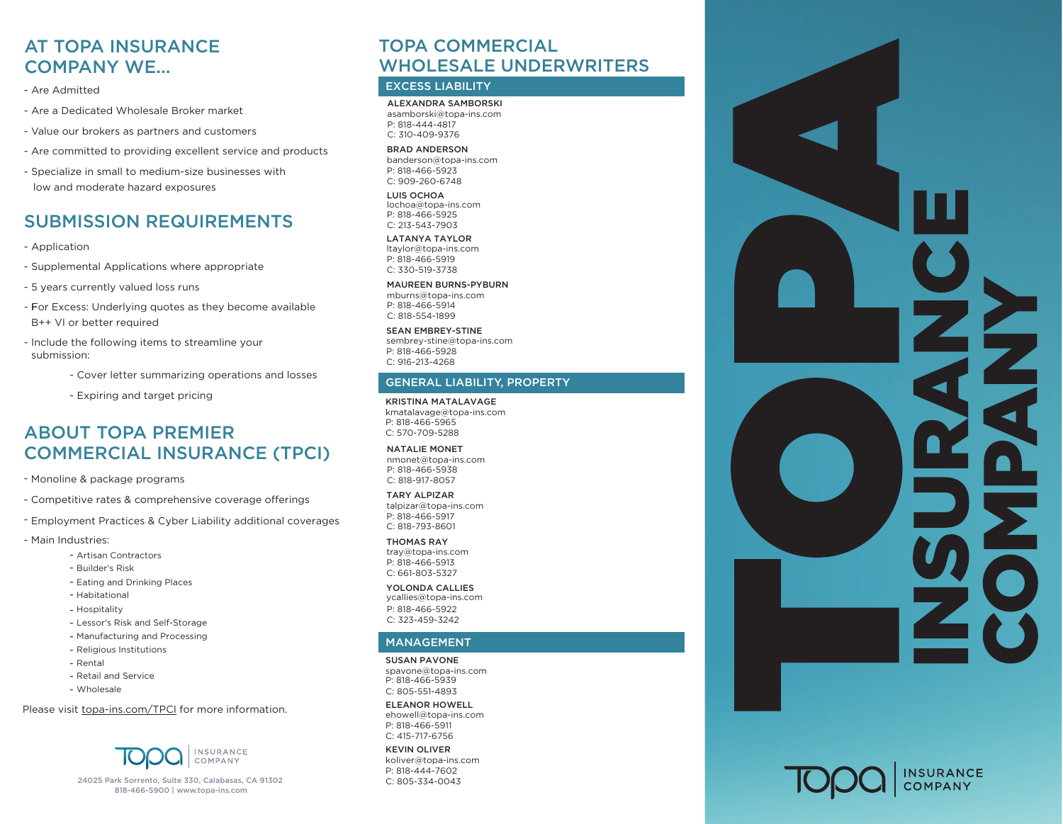# AT TOPA INSURANCE AT TOPA INSURANCE COMPANY WE... COMPANY WE...

- Are Admitted Are Admitted
- Are a Dedicated Wholesale Broker market Are a Dedicated Wholesale Broker market
- Value our brokers as partners and customers Value our brokers as partners and customers
- Are committed to providing excellent service and products Are committed to providing excellent service and products
- Specialize in small to medium-size businesses with Specialize in small to medium-size businesses with low and moderate hazard exposures low and moderate hazard exposures

## SUBMISSION REQUIREMENTS SUBMISSION REQUIREMENTS

- Application
- Supplemental Applications where appropriate
- 5 years currently valued loss runs
- For Excess: Underlying quotes as they become available B++ VI or better required
- Include the following items to streamline your - Include the following items to streamline your streamline your streamline your streamline your streamline your streamline your streamline your streamline your streamline your streamline your streamline your streamline yo submission:
	- Cover letter summarizing operations and losses
		- Expiring and target pricing

## COMMERCIAL INSURANCE (TPCI) ABOUT TOPA PREMIER

- COMMERCIAL INSURANCE (TPCI) Monoline & package programs
- Competitive rates & comprehensive coverage offerings
- Employment Practices & Cyber Liability additional coverages
- Main Industries:
	- Artisan Contractors
	- Builder's Risk
	- Eating and Drinking Places
	- Habitational
		- Hospitality
		- Lessor's Risk and Self-Storage
		- Manufacturing and Processing
		- Religious Institutions
		- Rental
		- Retail and Service
		- Wholesale

Please visi[t topa-ins.com/TPCI f](https://www.topains.com/tpci)or more information.



24025 Park Sorrento, Suite 330, Calabasas, CA 91302 24025 Park Sorrento, Suite 300, Calabasas, CA 91302 818-466-5900 | www.topa-ins.com 818-466-59[00 | www.topa-ins.com](https://www.topains.com/)

# TOPA COMMERCIAL TOPA COMMERCIAL WHOLESALE UNDERWRITERS WHOLESALE UNDERWRITERS

## EXCESS LIABILITY

ALEXANDRA SAMBORSKI asamborski@topa ms.co<br>P: 818-444-4817 a[samborski@topa-ins.com](mailto: asamborski@topa-ins.com) C: 310-409-9376 asamborski@topa-ins.com

BRAD ANDERSON banderson@topa-ins.com P: 818-466-5923 C: 909-260-6748

LUIS OCHOA [P: 818-466-5925](mailto: jbrooks@topa-ins.com) C: 213-543-7903 lochoa@topa-ins.com

LATANYA TAYLOR ltaylor@topa-ins.com C: 330-519-3738 [P: 818-466-5919](mailto: lochoa@topa-ins.com)

## MAUREEN BURNS-PYBURN

P: 818-444-7602 mburns@topa-ins.com C: 805-857-2497 [P: 818-466-5914](mailto: ltaylor@topa-ins.com) C: 818-554-1899

SEAN EMBREY-STINE sembrey-stine@topa-ins.com C: 916-213-4268 P: 818-466-5928

#### mburns@topa-ins.com **GENERAL LIABILITY, PROPERTY**

[KRISTINA MATALAVAGE](mailto: sembrey-stine@topa-ins.com)

P: 818-466-5965 sembrey-stine@topa-ins.com C: 570-709-5288 kmatalavage@topa-ins.com

### NATALIE MONET

 $C: 818 - 917 - 8057$ nmonet@topa-ins.com [P: 818-466-5938](mailto: nmonet@topa-ins.com) C: 818-917-8057

### TARY ALPIZAR

talpizar@topa-ins.com P: 818-466-5917 C: 818-793-8601

#### THOMAS RAY tray@topa-ins.com

P: 818-466-5913 C: 661-803-5327

YOLONDA CALLIES C: 818-917-8057 ycallies@topa-ins.com YOLONDA CALLIES-DOUCETTE C: 323-459-3242 P: 818-466-5922

#### $\sim$  called  $\sim$  insection  $\sim$  $P$ **MANIACEM** MANAGEMENT

P: 818-466-5939 SUSAN PAVONE spavone@topa-ins.com C: 805-551-4893

## ELEANOR HOWELL

ehowell@topa-ins.com P: 818-466-5911 C: 415-717-6756

### KEVIN OLIVER

koliver@topa-ins.com P: 818-444-7602 C: 805-334-0043